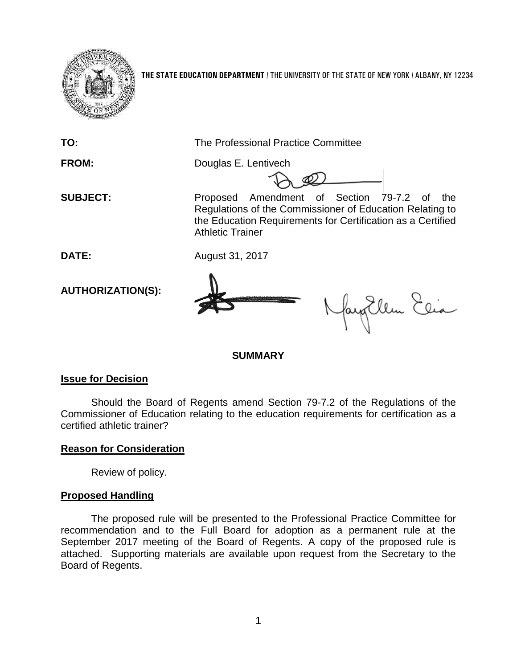

**THE STATE EDUCATION DEPARTMENT** / THE UNIVERSITY OF THE STATE OF NEW YORK / ALBANY, NY 12234

**TO:** The Professional Practice Committee **FROM:** Douglas E. Lentivech **SUBJECT:** Proposed Amendment of Section 79-7.2 of the Regulations of the Commissioner of Education Relating to the Education Requirements for Certification as a Certified Athletic Trainer **DATE:** August 31, 2017 **AUTHORIZATION(S):** augEllen Elia **SUMMARY**

## **Issue for Decision**

Should the Board of Regents amend Section 79-7.2 of the Regulations of the Commissioner of Education relating to the education requirements for certification as a certified athletic trainer?

# **Reason for Consideration**

Review of policy.

# **Proposed Handling**

The proposed rule will be presented to the Professional Practice Committee for recommendation and to the Full Board for adoption as a permanent rule at the September 2017 meeting of the Board of Regents. A copy of the proposed rule is attached. Supporting materials are available upon request from the Secretary to the Board of Regents.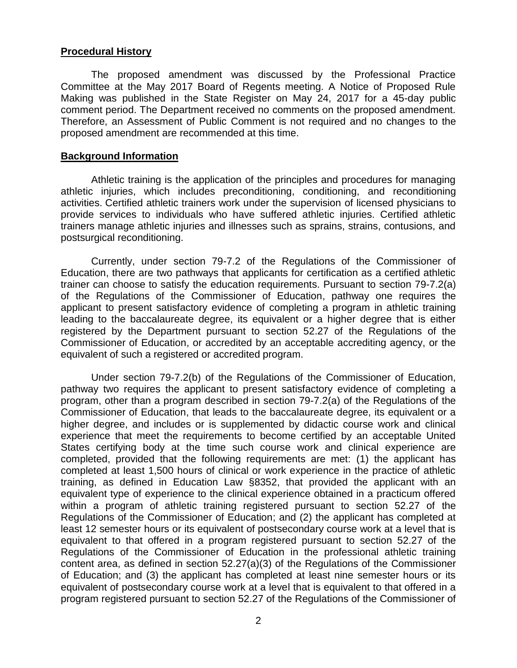### **Procedural History**

The proposed amendment was discussed by the Professional Practice Committee at the May 2017 Board of Regents meeting. A Notice of Proposed Rule Making was published in the State Register on May 24, 2017 for a 45-day public comment period. The Department received no comments on the proposed amendment. Therefore, an Assessment of Public Comment is not required and no changes to the proposed amendment are recommended at this time.

#### **Background Information**

Athletic training is the application of the principles and procedures for managing athletic injuries, which includes preconditioning, conditioning, and reconditioning activities. Certified athletic trainers work under the supervision of licensed physicians to provide services to individuals who have suffered athletic injuries. Certified athletic trainers manage athletic injuries and illnesses such as sprains, strains, contusions, and postsurgical reconditioning.

Currently, under section 79-7.2 of the Regulations of the Commissioner of Education, there are two pathways that applicants for certification as a certified athletic trainer can choose to satisfy the education requirements. Pursuant to section 79-7.2(a) of the Regulations of the Commissioner of Education, pathway one requires the applicant to present satisfactory evidence of completing a program in athletic training leading to the baccalaureate degree, its equivalent or a higher degree that is either registered by the Department pursuant to section 52.27 of the Regulations of the Commissioner of Education, or accredited by an acceptable accrediting agency, or the equivalent of such a registered or accredited program.

Under section 79-7.2(b) of the Regulations of the Commissioner of Education, pathway two requires the applicant to present satisfactory evidence of completing a program, other than a program described in section 79-7.2(a) of the Regulations of the Commissioner of Education, that leads to the baccalaureate degree, its equivalent or a higher degree, and includes or is supplemented by didactic course work and clinical experience that meet the requirements to become certified by an acceptable United States certifying body at the time such course work and clinical experience are completed, provided that the following requirements are met: (1) the applicant has completed at least 1,500 hours of clinical or work experience in the practice of athletic training, as defined in Education Law §8352, that provided the applicant with an equivalent type of experience to the clinical experience obtained in a practicum offered within a program of athletic training registered pursuant to section 52.27 of the Regulations of the Commissioner of Education; and (2) the applicant has completed at least 12 semester hours or its equivalent of postsecondary course work at a level that is equivalent to that offered in a program registered pursuant to section 52.27 of the Regulations of the Commissioner of Education in the professional athletic training content area, as defined in section 52.27(a)(3) of the Regulations of the Commissioner of Education; and (3) the applicant has completed at least nine semester hours or its equivalent of postsecondary course work at a level that is equivalent to that offered in a program registered pursuant to section 52.27 of the Regulations of the Commissioner of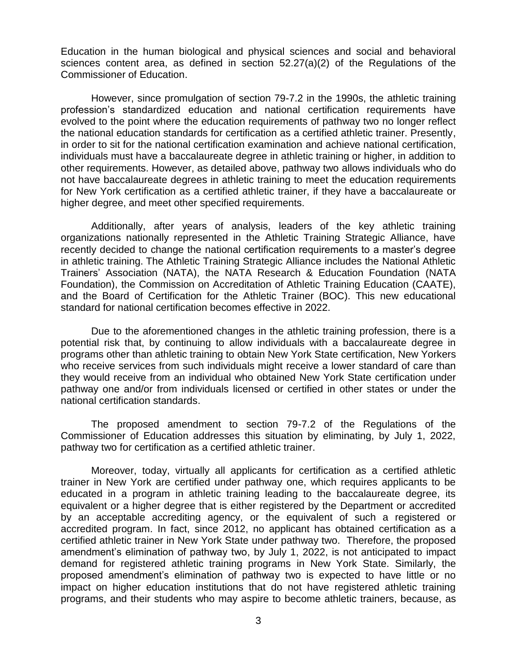Education in the human biological and physical sciences and social and behavioral sciences content area, as defined in section 52.27(a)(2) of the Regulations of the Commissioner of Education.

However, since promulgation of section 79-7.2 in the 1990s, the athletic training profession's standardized education and national certification requirements have evolved to the point where the education requirements of pathway two no longer reflect the national education standards for certification as a certified athletic trainer. Presently, in order to sit for the national certification examination and achieve national certification, individuals must have a baccalaureate degree in athletic training or higher, in addition to other requirements. However, as detailed above, pathway two allows individuals who do not have baccalaureate degrees in athletic training to meet the education requirements for New York certification as a certified athletic trainer, if they have a baccalaureate or higher degree, and meet other specified requirements.

Additionally, after years of analysis, leaders of the key athletic training organizations nationally represented in the Athletic Training Strategic Alliance, have recently decided to change the national certification requirements to a master's degree in athletic training. The Athletic Training Strategic Alliance includes the National Athletic Trainers' Association (NATA), the NATA Research & Education Foundation (NATA Foundation), the Commission on Accreditation of Athletic Training Education (CAATE), and the Board of Certification for the Athletic Trainer (BOC). This new educational standard for national certification becomes effective in 2022.

Due to the aforementioned changes in the athletic training profession, there is a potential risk that, by continuing to allow individuals with a baccalaureate degree in programs other than athletic training to obtain New York State certification, New Yorkers who receive services from such individuals might receive a lower standard of care than they would receive from an individual who obtained New York State certification under pathway one and/or from individuals licensed or certified in other states or under the national certification standards.

The proposed amendment to section 79-7.2 of the Regulations of the Commissioner of Education addresses this situation by eliminating, by July 1, 2022, pathway two for certification as a certified athletic trainer.

Moreover, today, virtually all applicants for certification as a certified athletic trainer in New York are certified under pathway one, which requires applicants to be educated in a program in athletic training leading to the baccalaureate degree, its equivalent or a higher degree that is either registered by the Department or accredited by an acceptable accrediting agency, or the equivalent of such a registered or accredited program. In fact, since 2012, no applicant has obtained certification as a certified athletic trainer in New York State under pathway two. Therefore, the proposed amendment's elimination of pathway two, by July 1, 2022, is not anticipated to impact demand for registered athletic training programs in New York State. Similarly, the proposed amendment's elimination of pathway two is expected to have little or no impact on higher education institutions that do not have registered athletic training programs, and their students who may aspire to become athletic trainers, because, as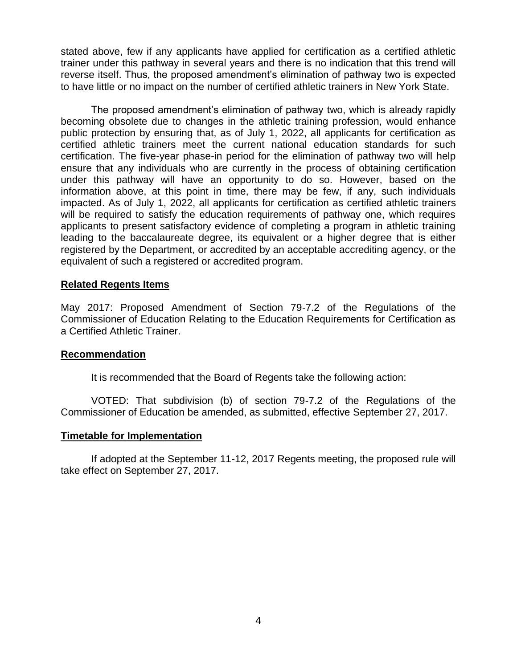stated above, few if any applicants have applied for certification as a certified athletic trainer under this pathway in several years and there is no indication that this trend will reverse itself. Thus, the proposed amendment's elimination of pathway two is expected to have little or no impact on the number of certified athletic trainers in New York State.

The proposed amendment's elimination of pathway two, which is already rapidly becoming obsolete due to changes in the athletic training profession, would enhance public protection by ensuring that, as of July 1, 2022, all applicants for certification as certified athletic trainers meet the current national education standards for such certification. The five-year phase-in period for the elimination of pathway two will help ensure that any individuals who are currently in the process of obtaining certification under this pathway will have an opportunity to do so. However, based on the information above, at this point in time, there may be few, if any, such individuals impacted. As of July 1, 2022, all applicants for certification as certified athletic trainers will be required to satisfy the education requirements of pathway one, which requires applicants to present satisfactory evidence of completing a program in athletic training leading to the baccalaureate degree, its equivalent or a higher degree that is either registered by the Department, or accredited by an acceptable accrediting agency, or the equivalent of such a registered or accredited program.

### **Related Regents Items**

May 2017: Proposed Amendment of Section 79-7.2 of the Regulations of the Commissioner of Education Relating to the Education Requirements for Certification as a Certified Athletic Trainer.

#### **Recommendation**

It is recommended that the Board of Regents take the following action:

VOTED: That subdivision (b) of section 79-7.2 of the Regulations of the Commissioner of Education be amended, as submitted, effective September 27, 2017.

#### **Timetable for Implementation**

If adopted at the September 11-12, 2017 Regents meeting, the proposed rule will take effect on September 27, 2017.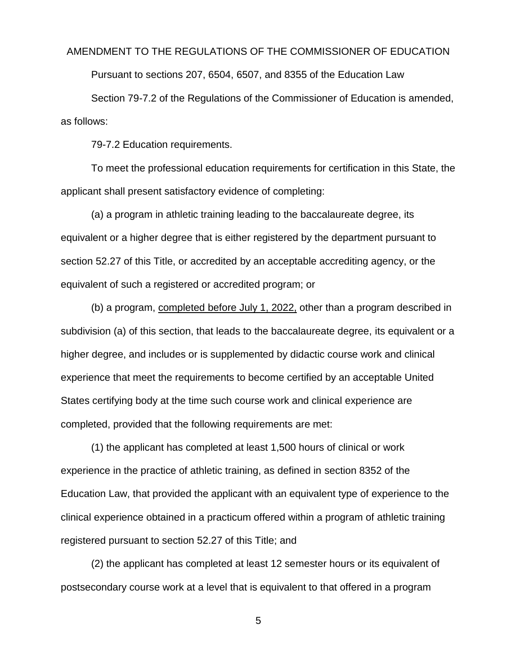#### AMENDMENT TO THE REGULATIONS OF THE COMMISSIONER OF EDUCATION

Pursuant to sections 207, 6504, 6507, and 8355 of the Education Law

Section 79-7.2 of the Regulations of the Commissioner of Education is amended, as follows:

79-7.2 Education requirements.

To meet the professional education requirements for certification in this State, the applicant shall present satisfactory evidence of completing:

(a) a program in athletic training leading to the baccalaureate degree, its equivalent or a higher degree that is either registered by the department pursuant to section 52.27 of this Title, or accredited by an acceptable accrediting agency, or the equivalent of such a registered or accredited program; or

(b) a program, completed before July 1, 2022, other than a program described in subdivision (a) of this section, that leads to the baccalaureate degree, its equivalent or a higher degree, and includes or is supplemented by didactic course work and clinical experience that meet the requirements to become certified by an acceptable United States certifying body at the time such course work and clinical experience are completed, provided that the following requirements are met:

(1) the applicant has completed at least 1,500 hours of clinical or work experience in the practice of athletic training, as defined in section 8352 of the Education Law, that provided the applicant with an equivalent type of experience to the clinical experience obtained in a practicum offered within a program of athletic training registered pursuant to section 52.27 of this Title; and

(2) the applicant has completed at least 12 semester hours or its equivalent of postsecondary course work at a level that is equivalent to that offered in a program

5